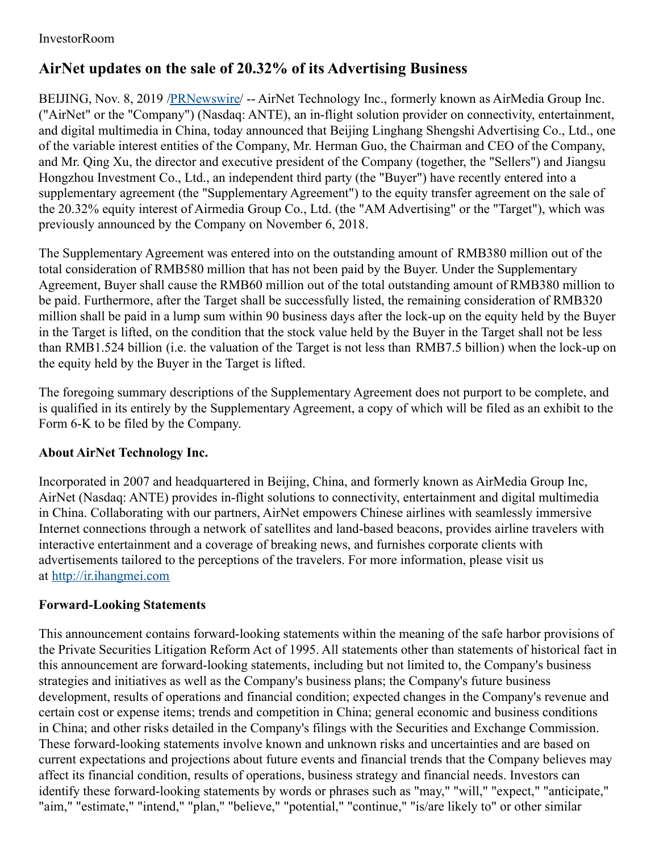## InvestorRoom

## **AirNet updates on the sale of 20.32% of its Advertising Business**

BEIJING, Nov. 8, 2019 [/PRNewswire](http://www.prnewswire.com/)/ -- AirNet Technology Inc., formerly known as AirMedia Group Inc. ("AirNet" or the "Company") (Nasdaq: ANTE), an in-flight solution provider on connectivity, entertainment, and digital multimedia in China, today announced that Beijing Linghang Shengshi Advertising Co., Ltd., one of the variable interest entities of the Company, Mr. Herman Guo, the Chairman and CEO of the Company, and Mr. Qing Xu, the director and executive president of the Company (together, the "Sellers") and Jiangsu Hongzhou Investment Co., Ltd., an independent third party (the "Buyer") have recently entered into a supplementary agreement (the "Supplementary Agreement") to the equity transfer agreement on the sale of the 20.32% equity interest of Airmedia Group Co., Ltd. (the "AM Advertising" or the "Target"), which was previously announced by the Company on November 6, 2018.

The Supplementary Agreement was entered into on the outstanding amount of RMB380 million out of the total consideration of RMB580 million that has not been paid by the Buyer. Under the Supplementary Agreement, Buyer shall cause the RMB60 million out of the total outstanding amount of RMB380 million to be paid. Furthermore, after the Target shall be successfully listed, the remaining consideration of RMB320 million shall be paid in a lump sum within 90 business days after the lock-up on the equity held by the Buyer in the Target is lifted, on the condition that the stock value held by the Buyer in the Target shall not be less than RMB1.524 billion (i.e. the valuation of the Target is not less than RMB7.5 billion) when the lock-up on the equity held by the Buyer in the Target is lifted.

The foregoing summary descriptions of the Supplementary Agreement does not purport to be complete, and is qualified in its entirely by the Supplementary Agreement, a copy of which will be filed as an exhibit to the Form 6-K to be filed by the Company.

## **About AirNet Technology Inc.**

Incorporated in 2007 and headquartered in Beijing, China, and formerly known as AirMedia Group Inc, AirNet (Nasdaq: ANTE) provides in-flight solutions to connectivity, entertainment and digital multimedia in China. Collaborating with our partners, AirNet empowers Chinese airlines with seamlessly immersive Internet connections through a network of satellites and land-based beacons, provides airline travelers with interactive entertainment and a coverage of breaking news, and furnishes corporate clients with advertisements tailored to the perceptions of the travelers. For more information, please visit us at [http://ir.ihangmei.com](http://ir.ihangmei.com/)

## **Forward-Looking Statements**

This announcement contains forward-looking statements within the meaning of the safe harbor provisions of the Private Securities Litigation Reform Act of 1995. All statements other than statements of historical fact in this announcement are forward-looking statements, including but not limited to, the Company's business strategies and initiatives as well as the Company's business plans; the Company's future business development, results of operations and financial condition; expected changes in the Company's revenue and certain cost or expense items; trends and competition in China; general economic and business conditions in China; and other risks detailed in the Company's filings with the Securities and Exchange Commission. These forward-looking statements involve known and unknown risks and uncertainties and are based on current expectations and projections about future events and financial trends that the Company believes may affect its financial condition, results of operations, business strategy and financial needs. Investors can identify these forward-looking statements by words or phrases such as "may," "will," "expect," "anticipate," "aim," "estimate," "intend," "plan," "believe," "potential," "continue," "is/are likely to" or other similar